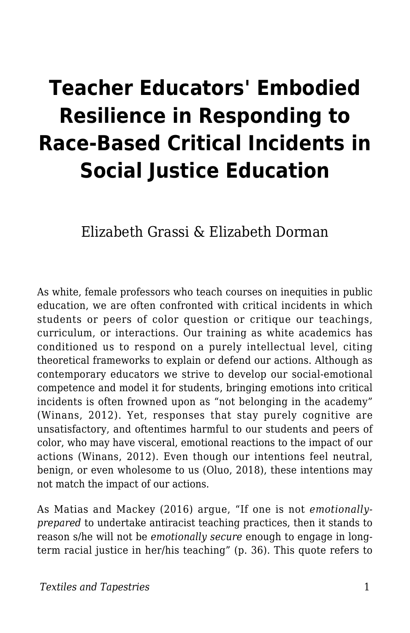# **Teacher Educators' Embodied Resilience in Responding to Race-Based Critical Incidents in Social Justice Education**

Elizabeth Grassi & Elizabeth Dorman

As white, female professors who teach courses on inequities in public education, we are often confronted with critical incidents in which students or peers of color question or critique our teachings, curriculum, or interactions. Our training as white academics has conditioned us to respond on a purely intellectual level, citing theoretical frameworks to explain or defend our actions. Although as contemporary educators we strive to develop our social-emotional competence and model it for students, bringing emotions into critical incidents is often frowned upon as "not belonging in the academy" (Winans, 2012). Yet, responses that stay purely cognitive are unsatisfactory, and oftentimes harmful to our students and peers of color, who may have visceral, emotional reactions to the impact of our actions (Winans, 2012). Even though our intentions feel neutral, benign, or even wholesome to us (Oluo, 2018), these intentions may not match the impact of our actions.

As Matias and Mackey (2016) argue, "If one is not *emotionallyprepared* to undertake antiracist teaching practices, then it stands to reason s/he will not be *emotionally secure* enough to engage in longterm racial justice in her/his teaching" (p. 36). This quote refers to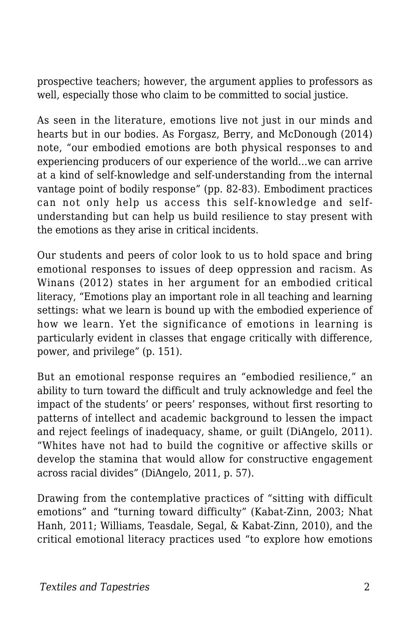prospective teachers; however, the argument applies to professors as well, especially those who claim to be committed to social justice.

As seen in the literature, emotions live not just in our minds and hearts but in our bodies. As Forgasz, Berry, and McDonough (2014) note, "our embodied emotions are both physical responses to and experiencing producers of our experience of the world…we can arrive at a kind of self-knowledge and self-understanding from the internal vantage point of bodily response" (pp. 82-83). Embodiment practices can not only help us access this self-knowledge and selfunderstanding but can help us build resilience to stay present with the emotions as they arise in critical incidents.

Our students and peers of color look to us to hold space and bring emotional responses to issues of deep oppression and racism. As Winans (2012) states in her argument for an embodied critical literacy, "Emotions play an important role in all teaching and learning settings: what we learn is bound up with the embodied experience of how we learn. Yet the significance of emotions in learning is particularly evident in classes that engage critically with difference, power, and privilege" (p. 151).

But an emotional response requires an "embodied resilience," an ability to turn toward the difficult and truly acknowledge and feel the impact of the students' or peers' responses, without first resorting to patterns of intellect and academic background to lessen the impact and reject feelings of inadequacy, shame, or guilt (DiAngelo, 2011). "Whites have not had to build the cognitive or affective skills or develop the stamina that would allow for constructive engagement across racial divides" (DiAngelo, 2011, p. 57).

Drawing from the contemplative practices of "sitting with difficult emotions" and "turning toward difficulty" (Kabat-Zinn, 2003; Nhat Hanh, 2011; Williams, Teasdale, Segal, & Kabat-Zinn, 2010), and the critical emotional literacy practices used "to explore how emotions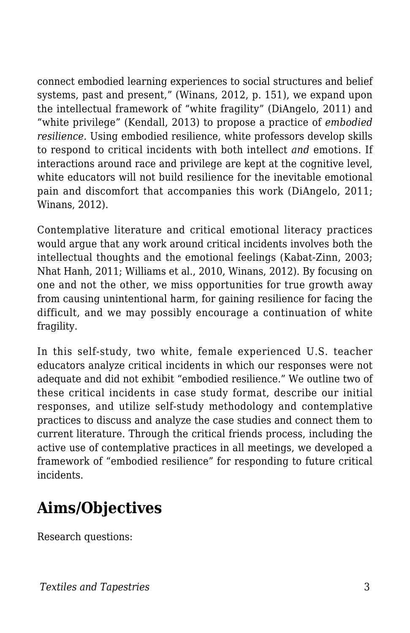connect embodied learning experiences to social structures and belief systems, past and present," (Winans, 2012, p. 151), we expand upon the intellectual framework of "white fragility" (DiAngelo, 2011) and "white privilege" (Kendall, 2013) to propose a practice of *embodied resilience.* Using embodied resilience, white professors develop skills to respond to critical incidents with both intellect *and* emotions. If interactions around race and privilege are kept at the cognitive level, white educators will not build resilience for the inevitable emotional pain and discomfort that accompanies this work (DiAngelo, 2011; Winans, 2012).

Contemplative literature and critical emotional literacy practices would argue that any work around critical incidents involves both the intellectual thoughts and the emotional feelings (Kabat-Zinn, 2003; Nhat Hanh, 2011; Williams et al., 2010, Winans, 2012). By focusing on one and not the other, we miss opportunities for true growth away from causing unintentional harm, for gaining resilience for facing the difficult, and we may possibly encourage a continuation of white fragility.

In this self-study, two white, female experienced U.S. teacher educators analyze critical incidents in which our responses were not adequate and did not exhibit "embodied resilience." We outline two of these critical incidents in case study format, describe our initial responses, and utilize self-study methodology and contemplative practices to discuss and analyze the case studies and connect them to current literature. Through the critical friends process, including the active use of contemplative practices in all meetings, we developed a framework of "embodied resilience" for responding to future critical incidents.

# **Aims/Objectives**

Research questions: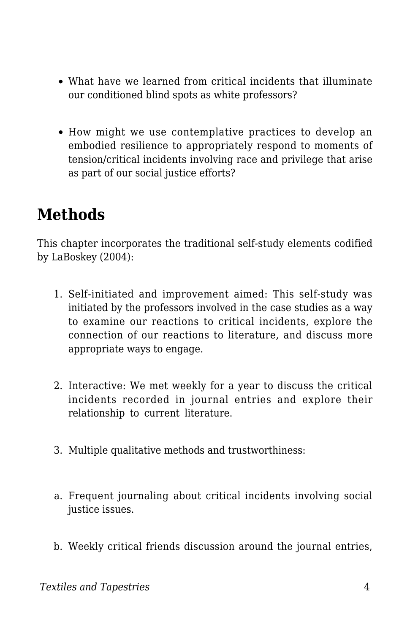- What have we learned from critical incidents that illuminate our conditioned blind spots as white professors?
- How might we use contemplative practices to develop an embodied resilience to appropriately respond to moments of tension/critical incidents involving race and privilege that arise as part of our social justice efforts?

### **Methods**

This chapter incorporates the traditional self-study elements codified by LaBoskey (2004):

- 1. Self-initiated and improvement aimed: This self-study was initiated by the professors involved in the case studies as a way to examine our reactions to critical incidents, explore the connection of our reactions to literature, and discuss more appropriate ways to engage.
- 2. Interactive: We met weekly for a year to discuss the critical incidents recorded in journal entries and explore their relationship to current literature.
- 3. Multiple qualitative methods and trustworthiness:
- a. Frequent journaling about critical incidents involving social justice issues.
- b. Weekly critical friends discussion around the journal entries,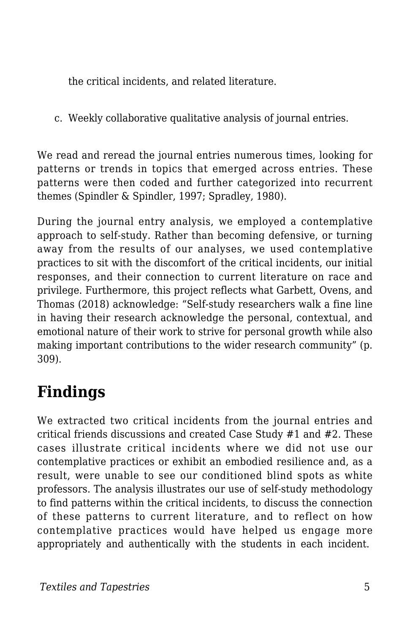the critical incidents, and related literature.

c. Weekly collaborative qualitative analysis of journal entries.

We read and reread the journal entries numerous times, looking for patterns or trends in topics that emerged across entries. These patterns were then coded and further categorized into recurrent themes (Spindler & Spindler, 1997; Spradley, 1980).

During the journal entry analysis, we employed a contemplative approach to self-study. Rather than becoming defensive, or turning away from the results of our analyses, we used contemplative practices to sit with the discomfort of the critical incidents, our initial responses, and their connection to current literature on race and privilege. Furthermore, this project reflects what Garbett, Ovens, and Thomas (2018) acknowledge: "Self-study researchers walk a fine line in having their research acknowledge the personal, contextual, and emotional nature of their work to strive for personal growth while also making important contributions to the wider research community" (p. 309).

# **Findings**

We extracted two critical incidents from the journal entries and critical friends discussions and created Case Study #1 and #2. These cases illustrate critical incidents where we did not use our contemplative practices or exhibit an embodied resilience and, as a result, were unable to see our conditioned blind spots as white professors. The analysis illustrates our use of self-study methodology to find patterns within the critical incidents, to discuss the connection of these patterns to current literature, and to reflect on how contemplative practices would have helped us engage more appropriately and authentically with the students in each incident.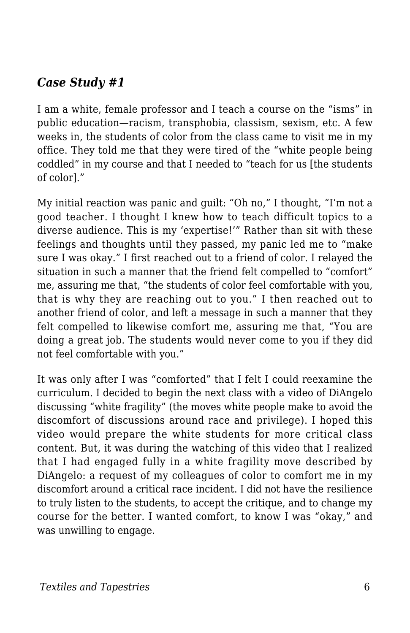#### *Case Study #1*

I am a white, female professor and I teach a course on the "isms" in public education—racism, transphobia, classism, sexism, etc. A few weeks in, the students of color from the class came to visit me in my office. They told me that they were tired of the "white people being coddled" in my course and that I needed to "teach for us [the students of color]."

My initial reaction was panic and guilt: "Oh no," I thought, "I'm not a good teacher. I thought I knew how to teach difficult topics to a diverse audience. This is my 'expertise!'" Rather than sit with these feelings and thoughts until they passed, my panic led me to "make sure I was okay." I first reached out to a friend of color. I relayed the situation in such a manner that the friend felt compelled to "comfort" me, assuring me that, "the students of color feel comfortable with you, that is why they are reaching out to you." I then reached out to another friend of color, and left a message in such a manner that they felt compelled to likewise comfort me, assuring me that, "You are doing a great job. The students would never come to you if they did not feel comfortable with you."

It was only after I was "comforted" that I felt I could reexamine the curriculum. I decided to begin the next class with a video of DiAngelo discussing "white fragility" (the moves white people make to avoid the discomfort of discussions around race and privilege). I hoped this video would prepare the white students for more critical class content. But, it was during the watching of this video that I realized that I had engaged fully in a white fragility move described by DiAngelo: a request of my colleagues of color to comfort me in my discomfort around a critical race incident. I did not have the resilience to truly listen to the students, to accept the critique, and to change my course for the better. I wanted comfort, to know I was "okay," and was unwilling to engage.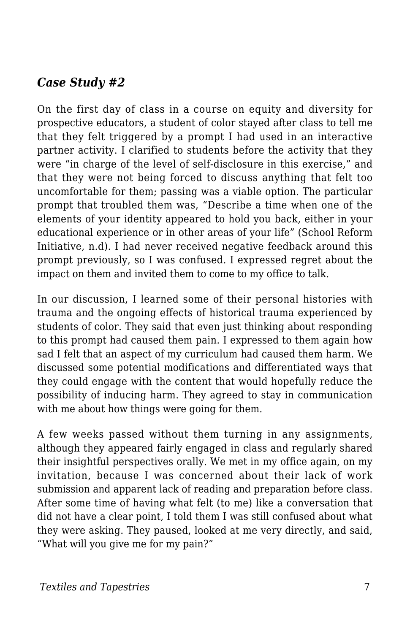#### *Case Study #2*

On the first day of class in a course on equity and diversity for prospective educators, a student of color stayed after class to tell me that they felt triggered by a prompt I had used in an interactive partner activity. I clarified to students before the activity that they were "in charge of the level of self-disclosure in this exercise," and that they were not being forced to discuss anything that felt too uncomfortable for them; passing was a viable option. The particular prompt that troubled them was, "Describe a time when one of the elements of your identity appeared to hold you back, either in your educational experience or in other areas of your life" (School Reform Initiative, n.d). I had never received negative feedback around this prompt previously, so I was confused. I expressed regret about the impact on them and invited them to come to my office to talk.

In our discussion, I learned some of their personal histories with trauma and the ongoing effects of historical trauma experienced by students of color. They said that even just thinking about responding to this prompt had caused them pain. I expressed to them again how sad I felt that an aspect of my curriculum had caused them harm. We discussed some potential modifications and differentiated ways that they could engage with the content that would hopefully reduce the possibility of inducing harm. They agreed to stay in communication with me about how things were going for them.

A few weeks passed without them turning in any assignments, although they appeared fairly engaged in class and regularly shared their insightful perspectives orally. We met in my office again, on my invitation, because I was concerned about their lack of work submission and apparent lack of reading and preparation before class. After some time of having what felt (to me) like a conversation that did not have a clear point, I told them I was still confused about what they were asking. They paused, looked at me very directly, and said, "What will you give me for my pain?"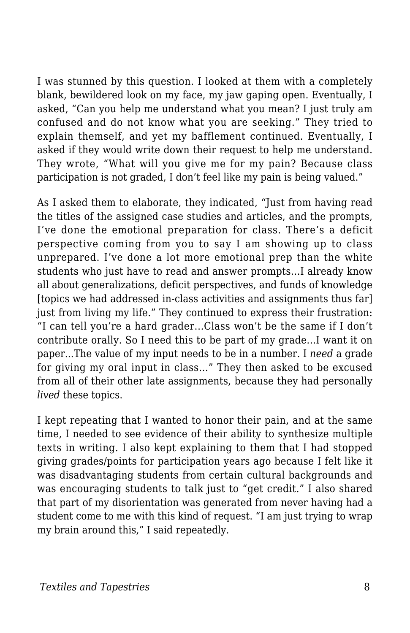I was stunned by this question. I looked at them with a completely blank, bewildered look on my face, my jaw gaping open. Eventually, I asked, "Can you help me understand what you mean? I just truly am confused and do not know what you are seeking." They tried to explain themself, and yet my bafflement continued. Eventually, I asked if they would write down their request to help me understand. They wrote, "What will you give me for my pain? Because class participation is not graded, I don't feel like my pain is being valued."

As I asked them to elaborate, they indicated, "Just from having read the titles of the assigned case studies and articles, and the prompts, I've done the emotional preparation for class. There's a deficit perspective coming from you to say I am showing up to class unprepared. I've done a lot more emotional prep than the white students who just have to read and answer prompts…I already know all about generalizations, deficit perspectives, and funds of knowledge [topics we had addressed in-class activities and assignments thus far] just from living my life." They continued to express their frustration: "I can tell you're a hard grader...Class won't be the same if I don't contribute orally. So I need this to be part of my grade...I want it on paper...The value of my input needs to be in a number. I *need* a grade for giving my oral input in class…" They then asked to be excused from all of their other late assignments, because they had personally *lived* these topics.

I kept repeating that I wanted to honor their pain, and at the same time, I needed to see evidence of their ability to synthesize multiple texts in writing. I also kept explaining to them that I had stopped giving grades/points for participation years ago because I felt like it was disadvantaging students from certain cultural backgrounds and was encouraging students to talk just to "get credit." I also shared that part of my disorientation was generated from never having had a student come to me with this kind of request. "I am just trying to wrap my brain around this," I said repeatedly.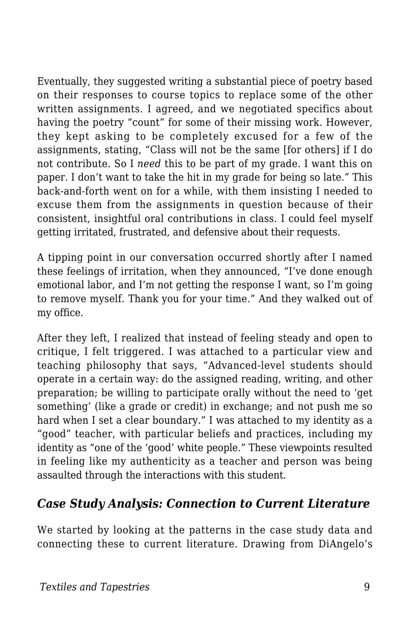Eventually, they suggested writing a substantial piece of poetry based on their responses to course topics to replace some of the other written assignments. I agreed, and we negotiated specifics about having the poetry "count" for some of their missing work. However, they kept asking to be completely excused for a few of the assignments, stating, "Class will not be the same [for others] if I do not contribute. So I *need* this to be part of my grade. I want this on paper. I don't want to take the hit in my grade for being so late." This back-and-forth went on for a while, with them insisting I needed to excuse them from the assignments in question because of their consistent, insightful oral contributions in class. I could feel myself getting irritated, frustrated, and defensive about their requests.

A tipping point in our conversation occurred shortly after I named these feelings of irritation, when they announced, "I've done enough emotional labor, and I'm not getting the response I want, so I'm going to remove myself. Thank you for your time." And they walked out of my office.

After they left, I realized that instead of feeling steady and open to critique, I felt triggered. I was attached to a particular view and teaching philosophy that says, "Advanced-level students should operate in a certain way: do the assigned reading, writing, and other preparation; be willing to participate orally without the need to 'get something' (like a grade or credit) in exchange; and not push me so hard when I set a clear boundary." I was attached to my identity as a "good" teacher, with particular beliefs and practices, including my identity as "one of the 'good' white people." These viewpoints resulted in feeling like my authenticity as a teacher and person was being assaulted through the interactions with this student.

#### *Case Study Analysis: Connection to Current Literature*

We started by looking at the patterns in the case study data and connecting these to current literature. Drawing from DiAngelo's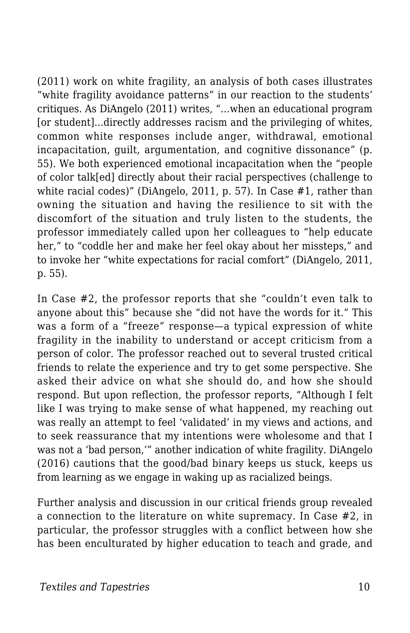(2011) work on white fragility, an analysis of both cases illustrates "white fragility avoidance patterns" in our reaction to the students' critiques. As DiAngelo (2011) writes, "…when an educational program [or student]...directly addresses racism and the privileging of whites, common white responses include anger, withdrawal, emotional incapacitation, guilt, argumentation, and cognitive dissonance" (p. 55). We both experienced emotional incapacitation when the "people of color talk[ed] directly about their racial perspectives (challenge to white racial codes)" (DiAngelo, 2011, p. 57). In Case #1, rather than owning the situation and having the resilience to sit with the discomfort of the situation and truly listen to the students, the professor immediately called upon her colleagues to "help educate her," to "coddle her and make her feel okay about her missteps," and to invoke her "white expectations for racial comfort" (DiAngelo, 2011, p. 55).

In Case #2, the professor reports that she "couldn't even talk to anyone about this" because she "did not have the words for it." This was a form of a "freeze" response—a typical expression of white fragility in the inability to understand or accept criticism from a person of color. The professor reached out to several trusted critical friends to relate the experience and try to get some perspective. She asked their advice on what she should do, and how she should respond. But upon reflection, the professor reports, "Although I felt like I was trying to make sense of what happened, my reaching out was really an attempt to feel 'validated' in my views and actions, and to seek reassurance that my intentions were wholesome and that I was not a 'bad person,'" another indication of white fragility. DiAngelo (2016) cautions that the good/bad binary keeps us stuck, keeps us from learning as we engage in waking up as racialized beings.

Further analysis and discussion in our critical friends group revealed a connection to the literature on white supremacy. In Case #2, in particular, the professor struggles with a conflict between how she has been enculturated by higher education to teach and grade, and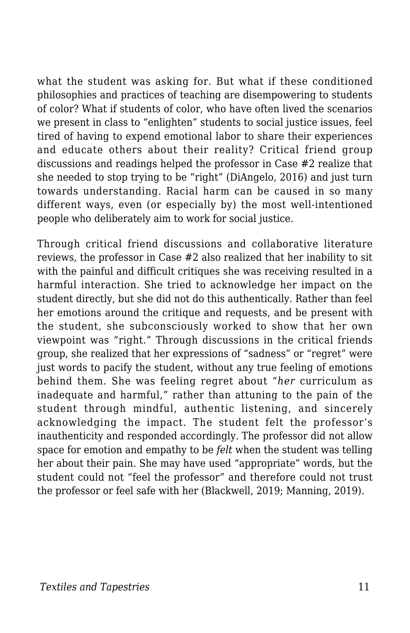what the student was asking for. But what if these conditioned philosophies and practices of teaching are disempowering to students of color? What if students of color, who have often lived the scenarios we present in class to "enlighten" students to social justice issues, feel tired of having to expend emotional labor to share their experiences and educate others about their reality? Critical friend group discussions and readings helped the professor in Case #2 realize that she needed to stop trying to be "right" (DiAngelo, 2016) and just turn towards understanding. Racial harm can be caused in so many different ways, even (or especially by) the most well-intentioned people who deliberately aim to work for social justice.

Through critical friend discussions and collaborative literature reviews, the professor in Case #2 also realized that her inability to sit with the painful and difficult critiques she was receiving resulted in a harmful interaction. She tried to acknowledge her impact on the student directly, but she did not do this authentically. Rather than feel her emotions around the critique and requests, and be present with the student, she subconsciously worked to show that her own viewpoint was "right." Through discussions in the critical friends group, she realized that her expressions of "sadness" or "regret" were just words to pacify the student, without any true feeling of emotions behind them. She was feeling regret about "*her* curriculum as inadequate and harmful," rather than attuning to the pain of the student through mindful, authentic listening, and sincerely acknowledging the impact. The student felt the professor's inauthenticity and responded accordingly. The professor did not allow space for emotion and empathy to be *felt* when the student was telling her about their pain. She may have used "appropriate" words, but the student could not "feel the professor" and therefore could not trust the professor or feel safe with her (Blackwell, 2019; Manning, 2019).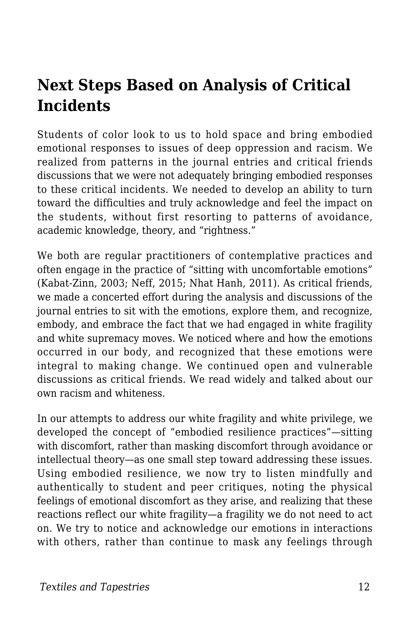### **Next Steps Based on Analysis of Critical Incidents**

Students of color look to us to hold space and bring embodied emotional responses to issues of deep oppression and racism. We realized from patterns in the journal entries and critical friends discussions that we were not adequately bringing embodied responses to these critical incidents. We needed to develop an ability to turn toward the difficulties and truly acknowledge and feel the impact on the students, without first resorting to patterns of avoidance, academic knowledge, theory, and "rightness."

We both are regular practitioners of contemplative practices and often engage in the practice of "sitting with uncomfortable emotions" (Kabat-Zinn, 2003; Neff, 2015; Nhat Hanh, 2011). As critical friends, we made a concerted effort during the analysis and discussions of the journal entries to sit with the emotions, explore them, and recognize, embody, and embrace the fact that we had engaged in white fragility and white supremacy moves. We noticed where and how the emotions occurred in our body, and recognized that these emotions were integral to making change. We continued open and vulnerable discussions as critical friends. We read widely and talked about our own racism and whiteness.

In our attempts to address our white fragility and white privilege, we developed the concept of "embodied resilience practices"—sitting with discomfort, rather than masking discomfort through avoidance or intellectual theory—as one small step toward addressing these issues. Using embodied resilience, we now try to listen mindfully and authentically to student and peer critiques, noting the physical feelings of emotional discomfort as they arise, and realizing that these reactions reflect our white fragility—a fragility we do not need to act on. We try to notice and acknowledge our emotions in interactions with others, rather than continue to mask any feelings through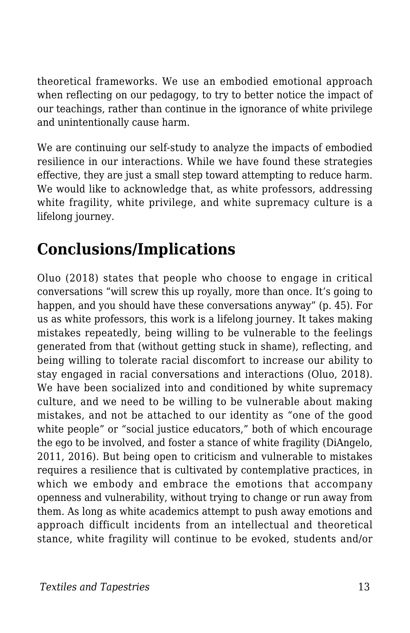theoretical frameworks. We use an embodied emotional approach when reflecting on our pedagogy, to try to better notice the impact of our teachings, rather than continue in the ignorance of white privilege and unintentionally cause harm.

We are continuing our self-study to analyze the impacts of embodied resilience in our interactions. While we have found these strategies effective, they are just a small step toward attempting to reduce harm. We would like to acknowledge that, as white professors, addressing white fragility, white privilege, and white supremacy culture is a lifelong journey.

## **Conclusions/Implications**

Oluo (2018) states that people who choose to engage in critical conversations "will screw this up royally, more than once. It's going to happen, and you should have these conversations anyway" (p. 45). For us as white professors, this work is a lifelong journey. It takes making mistakes repeatedly, being willing to be vulnerable to the feelings generated from that (without getting stuck in shame), reflecting, and being willing to tolerate racial discomfort to increase our ability to stay engaged in racial conversations and interactions (Oluo, 2018). We have been socialized into and conditioned by white supremacy culture, and we need to be willing to be vulnerable about making mistakes, and not be attached to our identity as "one of the good white people" or "social justice educators," both of which encourage the ego to be involved, and foster a stance of white fragility (DiAngelo, 2011, 2016). But being open to criticism and vulnerable to mistakes requires a resilience that is cultivated by contemplative practices, in which we embody and embrace the emotions that accompany openness and vulnerability, without trying to change or run away from them. As long as white academics attempt to push away emotions and approach difficult incidents from an intellectual and theoretical stance, white fragility will continue to be evoked, students and/or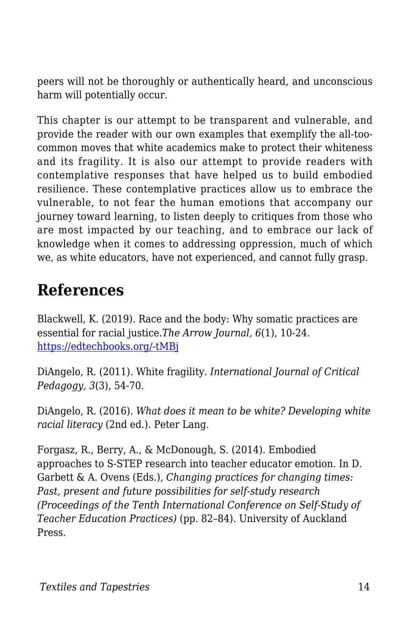peers will not be thoroughly or authentically heard, and unconscious harm will potentially occur.

This chapter is our attempt to be transparent and vulnerable, and provide the reader with our own examples that exemplify the all-toocommon moves that white academics make to protect their whiteness and its fragility. It is also our attempt to provide readers with contemplative responses that have helped us to build embodied resilience. These contemplative practices allow us to embrace the vulnerable, to not fear the human emotions that accompany our journey toward learning, to listen deeply to critiques from those who are most impacted by our teaching, and to embrace our lack of knowledge when it comes to addressing oppression, much of which we, as white educators, have not experienced, and cannot fully grasp.

### **References**

Blackwell, K. (2019). Race and the body: Why somatic practices are essential for racial justice.*The Arrow Journal, 6*(1), 10-24. [https://edtechbooks.org/-tMBj](https://arrow-journal.org/the-necessity-of-including-embodiment-and-lineage-in-racial-justice-work/)

DiAngelo, R. (2011). White fragility. *International Journal of Critical Pedagogy, 3*(3), 54-70.

DiAngelo, R. (2016). *What does it mean to be white? Developing white racial literacy* (2nd ed.). Peter Lang.

Forgasz, R., Berry, A., & McDonough, S. (2014). Embodied approaches to S-STEP research into teacher educator emotion. In D. Garbett & A. Ovens (Eds.), *Changing practices for changing times: Past, present and future possibilities for self-study research (Proceedings of the Tenth International Conference on Self-Study of Teacher Education Practices)* (pp. 82–84). University of Auckland Press.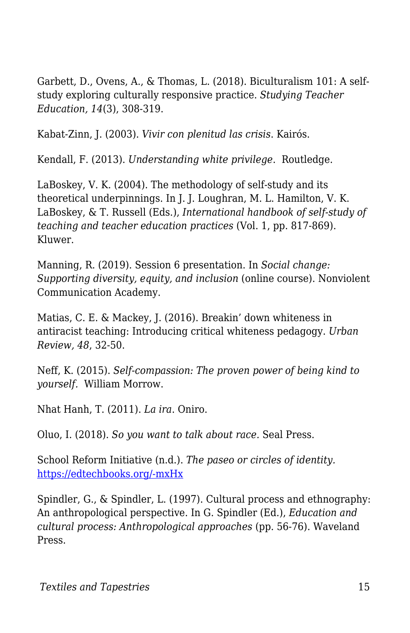Garbett, D., Ovens, A., & Thomas, L. (2018). Biculturalism 101: A selfstudy exploring culturally responsive practice. *Studying Teacher Education, 14*(3), 308-319.

Kabat-Zinn, J. (2003). *Vivir con plenitud las crisis*. Kairós.

Kendall, F. (2013). *Understanding white privilege*. Routledge.

LaBoskey, V. K. (2004). The methodology of self-study and its theoretical underpinnings. In J. J. Loughran, M. L. Hamilton, V. K. LaBoskey, & T. Russell (Eds.), *International handbook of self-study of teaching and teacher education practices* (Vol. 1, pp. 817-869). Kluwer.

Manning, R. (2019). Session 6 presentation. In *Social change: Supporting diversity, equity, and inclusion* (online course). Nonviolent Communication Academy.

Matias, C. E. & Mackey, J. (2016). Breakin' down whiteness in antiracist teaching: Introducing critical whiteness pedagogy. *Urban Review, 48*, 32-50.

Neff, K. (2015). *Self-compassion: The proven power of being kind to yourself.* William Morrow.

Nhat Hanh, T. (2011). *La ira*. Oniro.

Oluo, I. (2018). *So you want to talk about race.* Seal Press.

School Reform Initiative (n.d.). *The paseo or circles of identity.* [https://edtechbooks.org/-mxHx](https://schoolreforminitiative.org/doc/paseo.pdf)

Spindler, G., & Spindler, L. (1997). Cultural process and ethnography: An anthropological perspective. In G. Spindler (Ed.), *Education and cultural process: Anthropological approaches* (pp. 56-76). Waveland Press.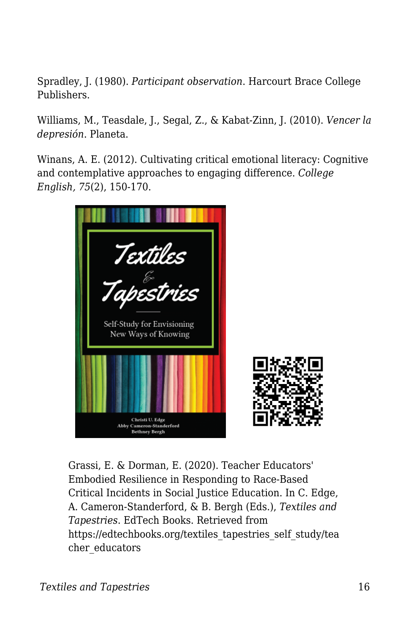Spradley, J. (1980). *Participant observation*. Harcourt Brace College Publishers.

Williams, M., Teasdale, J., Segal, Z., & Kabat-Zinn, J. (2010). *Vencer la depresión*. Planeta.

Winans, A. E. (2012). Cultivating critical emotional literacy: Cognitive and contemplative approaches to engaging difference. *College English, 75*(2), 150-170.



Grassi, E. & Dorman, E. (2020). Teacher Educators' Embodied Resilience in Responding to Race-Based Critical Incidents in Social Justice Education. In C. Edge, A. Cameron-Standerford, & B. Bergh (Eds.), *Textiles and Tapestries*. EdTech Books. Retrieved from https://edtechbooks.org/textiles\_tapestries\_self\_study/tea cher educators